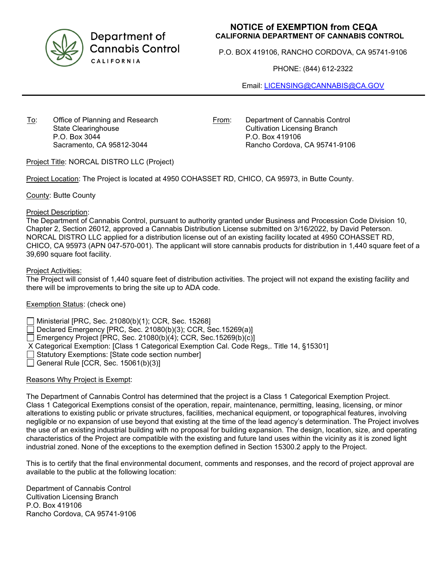

Department of **Cannabis Control** CALIFORNIA

# **NOTICE of EXEMPTION from CEQA CALIFORNIA DEPARTMENT OF CANNABIS CONTROL**

P.O. BOX 419106, RANCHO CORDOVA, CA 95741-9106

PHONE: (844) 612-2322

Email: [LICENSING@CANNABIS@CA.GOV](mailto:LICENSING@CANNABIS@CA.GOV)

To: Office of Planning and Research State Clearinghouse P.O. Box 3044 Sacramento, CA 95812-3044

From: Department of Cannabis Control Cultivation Licensing Branch P.O. Box 419106 Rancho Cordova, CA 95741-9106

Project Title: NORCAL DISTRO LLC (Project)

Project Location: The Project is located at 4950 COHASSET RD, CHICO, CA 95973, in Butte County.

County: Butte County

#### Project Description:

The Department of Cannabis Control, pursuant to authority granted under Business and Procession Code Division 10, Chapter 2, Section 26012, approved a Cannabis Distribution License submitted on 3/16/2022, by David Peterson. NORCAL DISTRO LLC applied for a distribution license out of an existing facility located at 4950 COHASSET RD, CHICO, CA 95973 (APN 047-570-001). The applicant will store cannabis products for distribution in 1,440 square feet of a 39,690 square foot facility.

#### Project Activities:

The Project will consist of 1,440 square feet of distribution activities. The project will not expand the existing facility and there will be improvements to bring the site up to ADA code.

## Exemption Status: (check one)

Ministerial [PRC, Sec. 21080(b)(1); CCR, Sec. 15268]

Declared Emergency [PRC, Sec. 21080(b)(3); CCR, Sec.15269(a)]

Emergency Project [PRC, Sec. 21080(b)(4); CCR, Sec. 15269(b)(c)]

X Categorical Exemption: [Class 1 Categorical Exemption Cal. Code Regs,. Title 14, §15301]

Statutory Exemptions: [State code section number]

General Rule [CCR, Sec.  $15061(b)(3)$ ]

## Reasons Why Project is Exempt:

The Department of Cannabis Control has determined that the project is a Class 1 Categorical Exemption Project. Class 1 Categorical Exemptions consist of the operation, repair, maintenance, permitting, leasing, licensing, or minor alterations to existing public or private structures, facilities, mechanical equipment, or topographical features, involving negligible or no expansion of use beyond that existing at the time of the lead agency's determination. The Project involves the use of an existing industrial building with no proposal for building expansion. The design, location, size, and operating characteristics of the Project are compatible with the existing and future land uses within the vicinity as it is zoned light industrial zoned. None of the exceptions to the exemption defined in Section 15300.2 apply to the Project.

This is to certify that the final environmental document, comments and responses, and the record of project approval are available to the public at the following location:

Department of Cannabis Control Cultivation Licensing Branch P.O. Box 419106 Rancho Cordova, CA 95741-9106